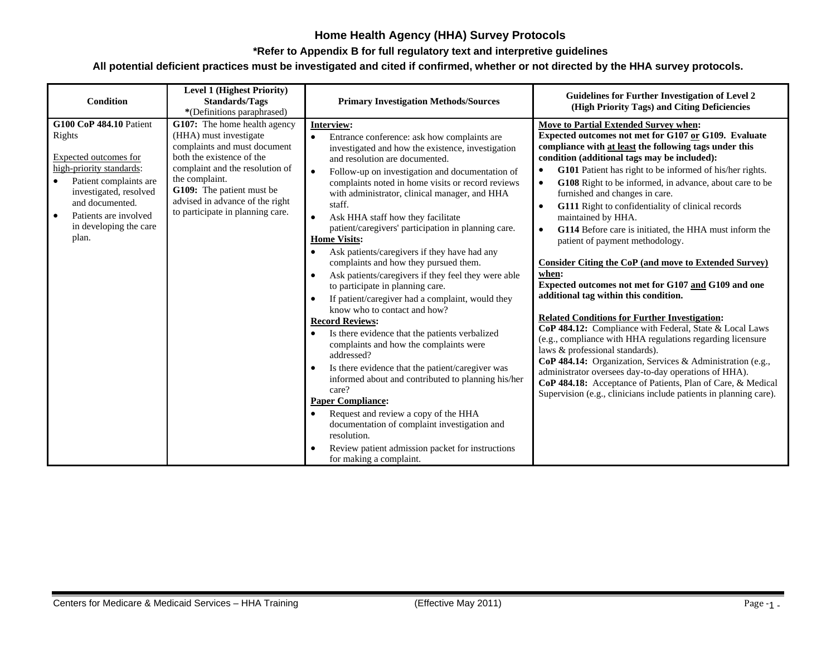#### **\*Refer to Appendix B for full regulatory text and interpretive guidelines**

| <b>Condition</b>                                                                                                                                                                                                                 | <b>Level 1 (Highest Priority)</b><br><b>Standards/Tags</b><br>*(Definitions paraphrased)                                                                                                                                                                                     | <b>Primary Investigation Methods/Sources</b>                                                                                                                                                                                                                                                                                                                                                                                                                                                                                                                                                                                                                                                                                                                                                                                                                                                                                                                                                                                                                                                                                                                                                                      | <b>Guidelines for Further Investigation of Level 2</b><br>(High Priority Tags) and Citing Deficiencies                                                                                                                                                                                                                                                                                                                                                                                                                                                                                                                                                                                                                                                                                                                                                                                                                                                                                                                                                                                                                                                                                                                                  |
|----------------------------------------------------------------------------------------------------------------------------------------------------------------------------------------------------------------------------------|------------------------------------------------------------------------------------------------------------------------------------------------------------------------------------------------------------------------------------------------------------------------------|-------------------------------------------------------------------------------------------------------------------------------------------------------------------------------------------------------------------------------------------------------------------------------------------------------------------------------------------------------------------------------------------------------------------------------------------------------------------------------------------------------------------------------------------------------------------------------------------------------------------------------------------------------------------------------------------------------------------------------------------------------------------------------------------------------------------------------------------------------------------------------------------------------------------------------------------------------------------------------------------------------------------------------------------------------------------------------------------------------------------------------------------------------------------------------------------------------------------|-----------------------------------------------------------------------------------------------------------------------------------------------------------------------------------------------------------------------------------------------------------------------------------------------------------------------------------------------------------------------------------------------------------------------------------------------------------------------------------------------------------------------------------------------------------------------------------------------------------------------------------------------------------------------------------------------------------------------------------------------------------------------------------------------------------------------------------------------------------------------------------------------------------------------------------------------------------------------------------------------------------------------------------------------------------------------------------------------------------------------------------------------------------------------------------------------------------------------------------------|
| <b>G100 CoP 484.10 Patient</b><br>Rights<br>Expected outcomes for<br>high-priority standards:<br>Patient complaints are<br>investigated, resolved<br>and documented.<br>Patients are involved<br>in developing the care<br>plan. | G107: The home health agency<br>(HHA) must investigate<br>complaints and must document<br>both the existence of the<br>complaint and the resolution of<br>the complaint.<br>G109: The patient must be<br>advised in advance of the right<br>to participate in planning care. | Interview:<br>Entrance conference: ask how complaints are<br>investigated and how the existence, investigation<br>and resolution are documented.<br>Follow-up on investigation and documentation of<br>$\bullet$<br>complaints noted in home visits or record reviews<br>with administrator, clinical manager, and HHA<br>staff.<br>Ask HHA staff how they facilitate<br>$\bullet$<br>patient/caregivers' participation in planning care.<br><b>Home Visits:</b><br>Ask patients/caregivers if they have had any<br>complaints and how they pursued them.<br>Ask patients/caregivers if they feel they were able<br>to participate in planning care.<br>If patient/caregiver had a complaint, would they<br>know who to contact and how?<br><b>Record Reviews:</b><br>Is there evidence that the patients verbalized<br>complaints and how the complaints were<br>addressed?<br>Is there evidence that the patient/caregiver was<br>informed about and contributed to planning his/her<br>care?<br><b>Paper Compliance:</b><br>Request and review a copy of the HHA<br>documentation of complaint investigation and<br>resolution.<br>Review patient admission packet for instructions<br>for making a complaint. | Move to Partial Extended Survey when:<br>Expected outcomes not met for G107 or G109. Evaluate<br>compliance with at least the following tags under this<br>condition (additional tags may be included):<br>G101 Patient has right to be informed of his/her rights.<br>G108 Right to be informed, in advance, about care to be<br>$\bullet$<br>furnished and changes in care.<br>G111 Right to confidentiality of clinical records<br>$\bullet$<br>maintained by HHA.<br>G114 Before care is initiated, the HHA must inform the<br>$\bullet$<br>patient of payment methodology.<br><b>Consider Citing the CoP (and move to Extended Survey)</b><br>when:<br>Expected outcomes not met for G107 and G109 and one<br>additional tag within this condition.<br><b>Related Conditions for Further Investigation:</b><br>CoP 484.12: Compliance with Federal, State & Local Laws<br>(e.g., compliance with HHA regulations regarding licensure<br>laws & professional standards).<br>CoP 484.14: Organization, Services & Administration (e.g.,<br>administrator oversees day-to-day operations of HHA).<br>CoP 484.18: Acceptance of Patients, Plan of Care, & Medical<br>Supervision (e.g., clinicians include patients in planning care). |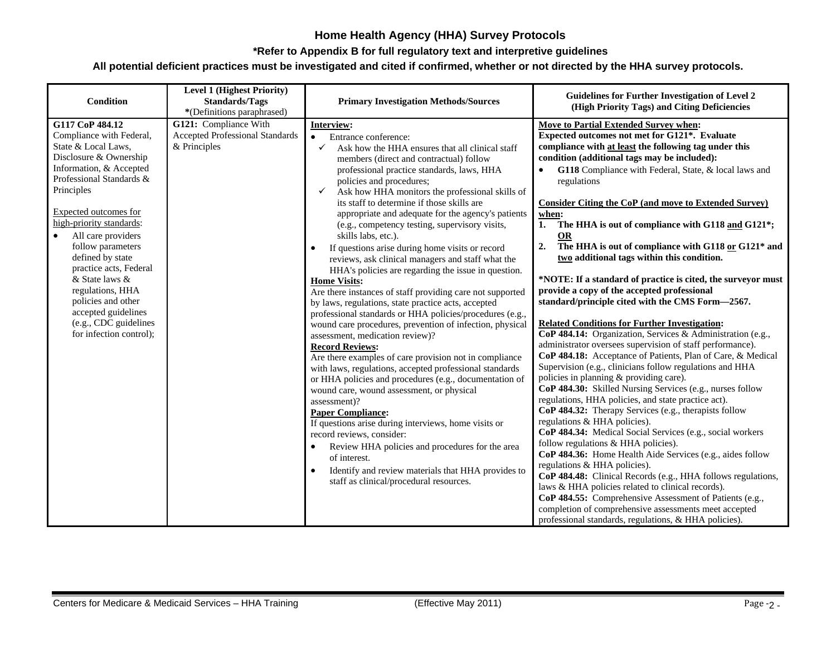#### **\*Refer to Appendix B for full regulatory text and interpretive guidelines**

| Condition                                                                                                                                                                                                                                                                                                                                                                                                                                                           | <b>Level 1 (Highest Priority)</b><br><b>Standards/Tags</b><br>*(Definitions paraphrased) | <b>Primary Investigation Methods/Sources</b>                                                                                                                                                                                                                                                                                                                                                                                                                                                                                                                                                                                                                                                                                                                                                                                                                                                                                                                                                                                                                                                                                                                                                                                                                                                                                                                                                                                                                                                 | Guidelines for Further Investigation of Level 2<br>(High Priority Tags) and Citing Deficiencies                                                                                                                                                                                                                                                                                                                                                                                                                                                                                                                                                                                                                                                                                                                                                                                                                                                                                                                                                                                                                                                                                                                                                                                                                                                                                                                                                                                                                                                                                                                                                                                                                                                                                                  |
|---------------------------------------------------------------------------------------------------------------------------------------------------------------------------------------------------------------------------------------------------------------------------------------------------------------------------------------------------------------------------------------------------------------------------------------------------------------------|------------------------------------------------------------------------------------------|----------------------------------------------------------------------------------------------------------------------------------------------------------------------------------------------------------------------------------------------------------------------------------------------------------------------------------------------------------------------------------------------------------------------------------------------------------------------------------------------------------------------------------------------------------------------------------------------------------------------------------------------------------------------------------------------------------------------------------------------------------------------------------------------------------------------------------------------------------------------------------------------------------------------------------------------------------------------------------------------------------------------------------------------------------------------------------------------------------------------------------------------------------------------------------------------------------------------------------------------------------------------------------------------------------------------------------------------------------------------------------------------------------------------------------------------------------------------------------------------|--------------------------------------------------------------------------------------------------------------------------------------------------------------------------------------------------------------------------------------------------------------------------------------------------------------------------------------------------------------------------------------------------------------------------------------------------------------------------------------------------------------------------------------------------------------------------------------------------------------------------------------------------------------------------------------------------------------------------------------------------------------------------------------------------------------------------------------------------------------------------------------------------------------------------------------------------------------------------------------------------------------------------------------------------------------------------------------------------------------------------------------------------------------------------------------------------------------------------------------------------------------------------------------------------------------------------------------------------------------------------------------------------------------------------------------------------------------------------------------------------------------------------------------------------------------------------------------------------------------------------------------------------------------------------------------------------------------------------------------------------------------------------------------------------|
| G117 CoP 484.12<br>Compliance with Federal,<br>State & Local Laws,<br>Disclosure & Ownership<br>Information, & Accepted<br>Professional Standards &<br>Principles<br>Expected outcomes for<br>high-priority standards:<br>$\bullet$<br>All care providers<br>follow parameters<br>defined by state<br>practice acts, Federal<br>& State laws &<br>regulations, HHA<br>policies and other<br>accepted guidelines<br>(e.g., CDC guidelines<br>for infection control); | G121: Compliance With<br><b>Accepted Professional Standards</b><br>& Principles          | Interview:<br>Entrance conference:<br>$\bullet$<br>Ask how the HHA ensures that all clinical staff<br>members (direct and contractual) follow<br>professional practice standards, laws, HHA<br>policies and procedures;<br>Ask how HHA monitors the professional skills of<br>✓<br>its staff to determine if those skills are<br>appropriate and adequate for the agency's patients<br>(e.g., competency testing, supervisory visits,<br>skills labs, etc.).<br>If questions arise during home visits or record<br>reviews, ask clinical managers and staff what the<br>HHA's policies are regarding the issue in question.<br><b>Home Visits:</b><br>Are there instances of staff providing care not supported<br>by laws, regulations, state practice acts, accepted<br>professional standards or HHA policies/procedures (e.g.,<br>wound care procedures, prevention of infection, physical<br>assessment, medication review)?<br><b>Record Reviews:</b><br>Are there examples of care provision not in compliance<br>with laws, regulations, accepted professional standards<br>or HHA policies and procedures (e.g., documentation of<br>wound care, wound assessment, or physical<br>assessment)?<br><b>Paper Compliance:</b><br>If questions arise during interviews, home visits or<br>record reviews, consider:<br>Review HHA policies and procedures for the area<br>of interest.<br>Identify and review materials that HHA provides to<br>staff as clinical/procedural resources. | <b>Move to Partial Extended Survey when:</b><br>Expected outcomes not met for G121*. Evaluate<br>compliance with at least the following tag under this<br>condition (additional tags may be included):<br>G118 Compliance with Federal, State, & local laws and<br>$\bullet$<br>regulations<br><b>Consider Citing the CoP (and move to Extended Survey)</b><br>when:<br>1. The HHA is out of compliance with G118 and G121*;<br><b>OR</b><br>2.<br>The HHA is out of compliance with G118 or G121* and<br>two additional tags within this condition.<br>*NOTE: If a standard of practice is cited, the surveyor must<br>provide a copy of the accepted professional<br>standard/principle cited with the CMS Form-2567.<br><b>Related Conditions for Further Investigation:</b><br>CoP 484.14: Organization, Services & Administration (e.g.,<br>administrator oversees supervision of staff performance).<br>CoP 484.18: Acceptance of Patients, Plan of Care, & Medical<br>Supervision (e.g., clinicians follow regulations and HHA<br>policies in planning & providing care).<br>CoP 484.30: Skilled Nursing Services (e.g., nurses follow<br>regulations, HHA policies, and state practice act).<br>CoP 484.32: Therapy Services (e.g., therapists follow<br>regulations & HHA policies).<br>CoP 484.34: Medical Social Services (e.g., social workers<br>follow regulations & HHA policies).<br>CoP 484.36: Home Health Aide Services (e.g., aides follow<br>regulations & HHA policies).<br>CoP 484.48: Clinical Records (e.g., HHA follows regulations,<br>laws & HHA policies related to clinical records).<br>CoP 484.55: Comprehensive Assessment of Patients (e.g.,<br>completion of comprehensive assessments meet accepted<br>professional standards, regulations, & HHA policies). |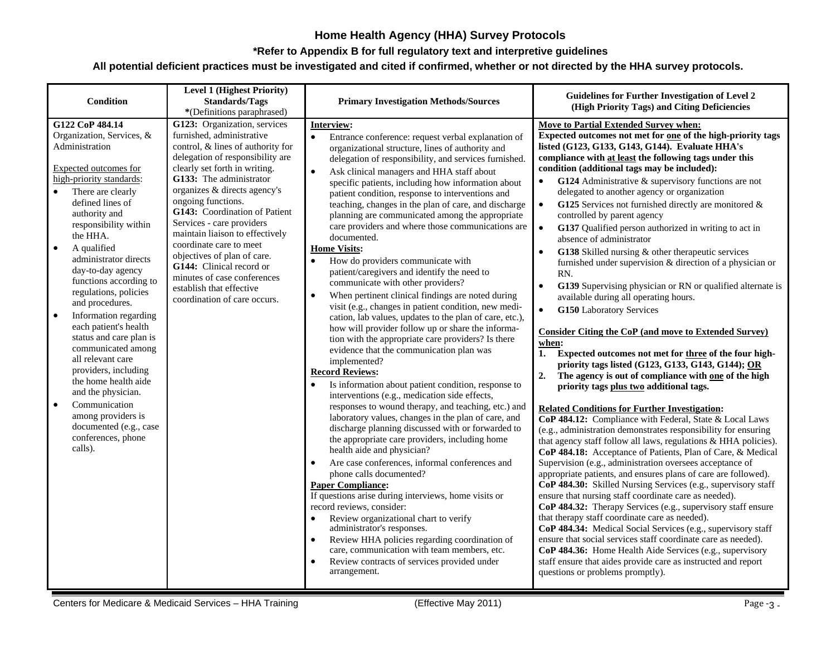#### **\*Refer to Appendix B for full regulatory text and interpretive guidelines**

| Condition                                                                                                                                                                                                                                                                                                                                                                                                                                                                                                                                                                                                                                                                                                 | <b>Level 1 (Highest Priority)</b><br><b>Standards/Tags</b><br>*(Definitions paraphrased)                                                                                                                                                                                                                                                                                                                                                                                                                                               | <b>Primary Investigation Methods/Sources</b>                                                                                                                                                                                                                                                                                                                                                                                                                                                                                                                                                                                                                                                                                                                                                                                                                                                                                                                                                                                                                                                                                                                                                                                                                                                                                                                                                                                                                                                                                                                                                                                                                                                                                                                                                                                                                                                                              | Guidelines for Further Investigation of Level 2<br>(High Priority Tags) and Citing Deficiencies                                                                                                                                                                                                                                                                                                                                                                                                                                                                                                                                                                                                                                                                                                                                                                                                                                                                                                                                                                                                                                                                                                                                                                                                                                                                                                                                                                                                                                                                                                                                                                                                                                                                                                                                                                                                                                                                                                                                                                                                                                                                                           |
|-----------------------------------------------------------------------------------------------------------------------------------------------------------------------------------------------------------------------------------------------------------------------------------------------------------------------------------------------------------------------------------------------------------------------------------------------------------------------------------------------------------------------------------------------------------------------------------------------------------------------------------------------------------------------------------------------------------|----------------------------------------------------------------------------------------------------------------------------------------------------------------------------------------------------------------------------------------------------------------------------------------------------------------------------------------------------------------------------------------------------------------------------------------------------------------------------------------------------------------------------------------|---------------------------------------------------------------------------------------------------------------------------------------------------------------------------------------------------------------------------------------------------------------------------------------------------------------------------------------------------------------------------------------------------------------------------------------------------------------------------------------------------------------------------------------------------------------------------------------------------------------------------------------------------------------------------------------------------------------------------------------------------------------------------------------------------------------------------------------------------------------------------------------------------------------------------------------------------------------------------------------------------------------------------------------------------------------------------------------------------------------------------------------------------------------------------------------------------------------------------------------------------------------------------------------------------------------------------------------------------------------------------------------------------------------------------------------------------------------------------------------------------------------------------------------------------------------------------------------------------------------------------------------------------------------------------------------------------------------------------------------------------------------------------------------------------------------------------------------------------------------------------------------------------------------------------|-------------------------------------------------------------------------------------------------------------------------------------------------------------------------------------------------------------------------------------------------------------------------------------------------------------------------------------------------------------------------------------------------------------------------------------------------------------------------------------------------------------------------------------------------------------------------------------------------------------------------------------------------------------------------------------------------------------------------------------------------------------------------------------------------------------------------------------------------------------------------------------------------------------------------------------------------------------------------------------------------------------------------------------------------------------------------------------------------------------------------------------------------------------------------------------------------------------------------------------------------------------------------------------------------------------------------------------------------------------------------------------------------------------------------------------------------------------------------------------------------------------------------------------------------------------------------------------------------------------------------------------------------------------------------------------------------------------------------------------------------------------------------------------------------------------------------------------------------------------------------------------------------------------------------------------------------------------------------------------------------------------------------------------------------------------------------------------------------------------------------------------------------------------------------------------------|
| G122 CoP 484.14<br>Organization, Services, &<br>Administration<br>Expected outcomes for<br>high-priority standards:<br>There are clearly<br>$\bullet$<br>defined lines of<br>authority and<br>responsibility within<br>the HHA.<br>$\bullet$<br>A qualified<br>administrator directs<br>day-to-day agency<br>functions according to<br>regulations, policies<br>and procedures.<br>Information regarding<br>$\bullet$<br>each patient's health<br>status and care plan is<br>communicated among<br>all relevant care<br>providers, including<br>the home health aide<br>and the physician.<br>$\bullet$<br>Communication<br>among providers is<br>documented (e.g., case<br>conferences, phone<br>calls). | G123: Organization, services<br>furnished, administrative<br>control, & lines of authority for<br>delegation of responsibility are<br>clearly set forth in writing.<br>G133: The administrator<br>organizes & directs agency's<br>ongoing functions.<br>G143: Coordination of Patient<br>Services - care providers<br>maintain liaison to effectively<br>coordinate care to meet<br>objectives of plan of care.<br>G144: Clinical record or<br>minutes of case conferences<br>establish that effective<br>coordination of care occurs. | Interview:<br>Entrance conference: request verbal explanation of<br>organizational structure, lines of authority and<br>delegation of responsibility, and services furnished.<br>Ask clinical managers and HHA staff about<br>$\bullet$<br>specific patients, including how information about<br>patient condition, response to interventions and<br>teaching, changes in the plan of care, and discharge<br>planning are communicated among the appropriate<br>care providers and where those communications are<br>documented.<br><b>Home Visits:</b><br>How do providers communicate with<br>$\bullet$<br>patient/caregivers and identify the need to<br>communicate with other providers?<br>When pertinent clinical findings are noted during<br>$\bullet$<br>visit (e.g., changes in patient condition, new medi-<br>cation, lab values, updates to the plan of care, etc.),<br>how will provider follow up or share the informa-<br>tion with the appropriate care providers? Is there<br>evidence that the communication plan was<br>implemented?<br><b>Record Reviews:</b><br>Is information about patient condition, response to<br>interventions (e.g., medication side effects,<br>responses to wound therapy, and teaching, etc.) and<br>laboratory values, changes in the plan of care, and<br>discharge planning discussed with or forwarded to<br>the appropriate care providers, including home<br>health aide and physician?<br>Are case conferences, informal conferences and<br>$\bullet$<br>phone calls documented?<br><b>Paper Compliance:</b><br>If questions arise during interviews, home visits or<br>record reviews, consider:<br>Review organizational chart to verify<br>$\bullet$<br>administrator's responses.<br>Review HHA policies regarding coordination of<br>care, communication with team members, etc.<br>Review contracts of services provided under<br>$\bullet$<br>arrangement. | Move to Partial Extended Survey when:<br>Expected outcomes not met for one of the high-priority tags<br>listed (G123, G133, G143, G144). Evaluate HHA's<br>compliance with at least the following tags under this<br>condition (additional tags may be included):<br>G124 Administrative $\&$ supervisory functions are not<br>$\bullet$<br>delegated to another agency or organization<br>G125 Services not furnished directly are monitored $\&$<br>$\bullet$<br>controlled by parent agency<br>G137 Qualified person authorized in writing to act in<br>$\bullet$<br>absence of administrator<br>G138 Skilled nursing $\&$ other therapeutic services<br>furnished under supervision & direction of a physician or<br>RN.<br>G139 Supervising physician or RN or qualified alternate is<br>available during all operating hours.<br>$\bullet$<br><b>G150 Laboratory Services</b><br><b>Consider Citing the CoP (and move to Extended Survey)</b><br>when:<br>1. Expected outcomes not met for three of the four high-<br>priority tags listed (G123, G133, G143, G144); OR<br>2.<br>The agency is out of compliance with one of the high<br>priority tags plus two additional tags.<br><b>Related Conditions for Further Investigation:</b><br>CoP 484.12: Compliance with Federal, State & Local Laws<br>(e.g., administration demonstrates responsibility for ensuring<br>that agency staff follow all laws, regulations & HHA policies).<br>CoP 484.18: Acceptance of Patients, Plan of Care, & Medical<br>Supervision (e.g., administration oversees acceptance of<br>appropriate patients, and ensures plans of care are followed).<br>CoP 484.30: Skilled Nursing Services (e.g., supervisory staff<br>ensure that nursing staff coordinate care as needed).<br>CoP 484.32: Therapy Services (e.g., supervisory staff ensure<br>that therapy staff coordinate care as needed).<br>CoP 484.34: Medical Social Services (e.g., supervisory staff<br>ensure that social services staff coordinate care as needed).<br>CoP 484.36: Home Health Aide Services (e.g., supervisory<br>staff ensure that aides provide care as instructed and report<br>questions or problems promptly). |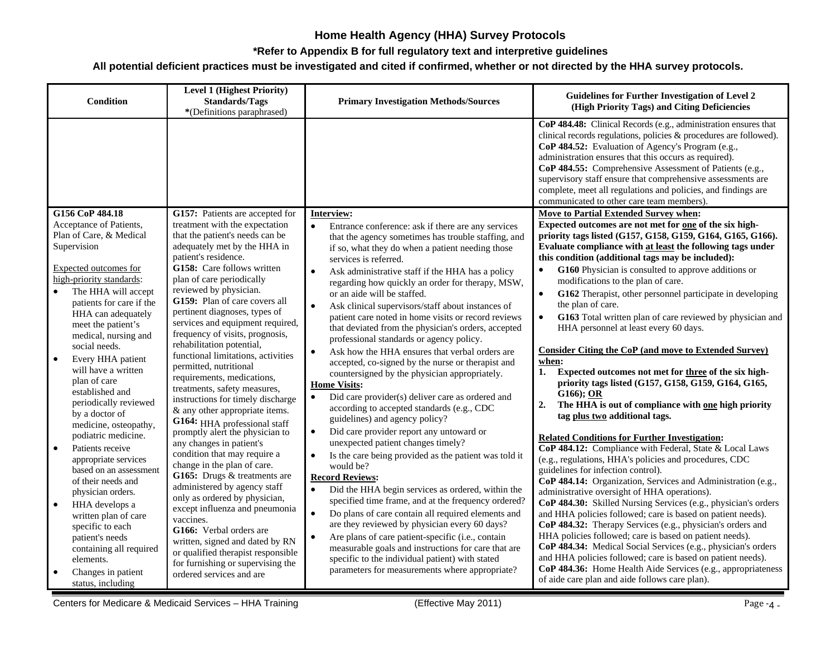#### **\*Refer to Appendix B for full regulatory text and interpretive guidelines**

| Condition                                                                                                                                                                                                                                                                                                                                                                                                                                                                                                                                                                                                                                                                                                                                           | <b>Level 1 (Highest Priority)</b><br><b>Standards/Tags</b><br>*(Definitions paraphrased)                                                                                                                                                                                                                                                                                                                                                                                                                                                                                                                                                                                                                                                                                                                                                                                                                                                                                                                                                                                            | <b>Primary Investigation Methods/Sources</b>                                                                                                                                                                                                                                                                                                                                                                                                                                                                                                                                                                                                                                                                                                                                                                                                                                                                                                                                                                                                                                                                                                                                                                                                                                                                                                                                                                                                                                                                                                                           | <b>Guidelines for Further Investigation of Level 2</b><br>(High Priority Tags) and Citing Deficiencies                                                                                                                                                                                                                                                                                                                                                                                                                                                                                                                                                                                                                                                                                                                                                                                                                                                                                                                                                                                                                                                                                                                                                                                                                                                                                                                                                                                                                                                                                                                                               |
|-----------------------------------------------------------------------------------------------------------------------------------------------------------------------------------------------------------------------------------------------------------------------------------------------------------------------------------------------------------------------------------------------------------------------------------------------------------------------------------------------------------------------------------------------------------------------------------------------------------------------------------------------------------------------------------------------------------------------------------------------------|-------------------------------------------------------------------------------------------------------------------------------------------------------------------------------------------------------------------------------------------------------------------------------------------------------------------------------------------------------------------------------------------------------------------------------------------------------------------------------------------------------------------------------------------------------------------------------------------------------------------------------------------------------------------------------------------------------------------------------------------------------------------------------------------------------------------------------------------------------------------------------------------------------------------------------------------------------------------------------------------------------------------------------------------------------------------------------------|------------------------------------------------------------------------------------------------------------------------------------------------------------------------------------------------------------------------------------------------------------------------------------------------------------------------------------------------------------------------------------------------------------------------------------------------------------------------------------------------------------------------------------------------------------------------------------------------------------------------------------------------------------------------------------------------------------------------------------------------------------------------------------------------------------------------------------------------------------------------------------------------------------------------------------------------------------------------------------------------------------------------------------------------------------------------------------------------------------------------------------------------------------------------------------------------------------------------------------------------------------------------------------------------------------------------------------------------------------------------------------------------------------------------------------------------------------------------------------------------------------------------------------------------------------------------|------------------------------------------------------------------------------------------------------------------------------------------------------------------------------------------------------------------------------------------------------------------------------------------------------------------------------------------------------------------------------------------------------------------------------------------------------------------------------------------------------------------------------------------------------------------------------------------------------------------------------------------------------------------------------------------------------------------------------------------------------------------------------------------------------------------------------------------------------------------------------------------------------------------------------------------------------------------------------------------------------------------------------------------------------------------------------------------------------------------------------------------------------------------------------------------------------------------------------------------------------------------------------------------------------------------------------------------------------------------------------------------------------------------------------------------------------------------------------------------------------------------------------------------------------------------------------------------------------------------------------------------------------|
|                                                                                                                                                                                                                                                                                                                                                                                                                                                                                                                                                                                                                                                                                                                                                     |                                                                                                                                                                                                                                                                                                                                                                                                                                                                                                                                                                                                                                                                                                                                                                                                                                                                                                                                                                                                                                                                                     |                                                                                                                                                                                                                                                                                                                                                                                                                                                                                                                                                                                                                                                                                                                                                                                                                                                                                                                                                                                                                                                                                                                                                                                                                                                                                                                                                                                                                                                                                                                                                                        | CoP 484.48: Clinical Records (e.g., administration ensures that<br>clinical records regulations, policies & procedures are followed).<br>CoP 484.52: Evaluation of Agency's Program (e.g.,<br>administration ensures that this occurs as required).<br>CoP 484.55: Comprehensive Assessment of Patients (e.g.,<br>supervisory staff ensure that comprehensive assessments are<br>complete, meet all regulations and policies, and findings are<br>communicated to other care team members).                                                                                                                                                                                                                                                                                                                                                                                                                                                                                                                                                                                                                                                                                                                                                                                                                                                                                                                                                                                                                                                                                                                                                          |
| G156 CoP 484.18<br>Acceptance of Patients,<br>Plan of Care, & Medical<br>Supervision<br><b>Expected outcomes for</b><br>high-priority standards:<br>The HHA will accept<br>patients for care if the<br>HHA can adequately<br>meet the patient's<br>medical, nursing and<br>social needs.<br>Every HHA patient<br>$\bullet$<br>will have a written<br>plan of care<br>established and<br>periodically reviewed<br>by a doctor of<br>medicine, osteopathy,<br>podiatric medicine.<br>Patients receive<br>$\bullet$<br>appropriate services<br>based on an assessment<br>of their needs and<br>physician orders.<br>HHA develops a<br>$\bullet$<br>written plan of care<br>specific to each<br>patient's needs<br>containing all required<br>elements. | G157: Patients are accepted for<br>treatment with the expectation<br>that the patient's needs can be<br>adequately met by the HHA in<br>patient's residence.<br>G158: Care follows written<br>plan of care periodically<br>reviewed by physician.<br>G159: Plan of care covers all<br>pertinent diagnoses, types of<br>services and equipment required,<br>frequency of visits, prognosis,<br>rehabilitation potential,<br>functional limitations, activities<br>permitted, nutritional<br>requirements, medications,<br>treatments, safety measures,<br>instructions for timely discharge<br>& any other appropriate items.<br>G164: HHA professional staff<br>promptly alert the physician to<br>any changes in patient's<br>condition that may require a<br>change in the plan of care.<br>G165: Drugs & treatments are<br>administered by agency staff<br>only as ordered by physician,<br>except influenza and pneumonia<br>vaccines.<br>G166: Verbal orders are<br>written, signed and dated by RN<br>or qualified therapist responsible<br>for furnishing or supervising the | Interview:<br>$\bullet$<br>Entrance conference: ask if there are any services<br>that the agency sometimes has trouble staffing, and<br>if so, what they do when a patient needing those<br>services is referred.<br>Ask administrative staff if the HHA has a policy<br>regarding how quickly an order for therapy, MSW,<br>or an aide will be staffed.<br>Ask clinical supervisors/staff about instances of<br>$\bullet$<br>patient care noted in home visits or record reviews<br>that deviated from the physician's orders, accepted<br>professional standards or agency policy.<br>Ask how the HHA ensures that verbal orders are<br>$\bullet$<br>accepted, co-signed by the nurse or therapist and<br>countersigned by the physician appropriately.<br><b>Home Visits:</b><br>Did care provider(s) deliver care as ordered and<br>$\bullet$<br>according to accepted standards (e.g., CDC<br>guidelines) and agency policy?<br>Did care provider report any untoward or<br>$\bullet$<br>unexpected patient changes timely?<br>Is the care being provided as the patient was told it<br>$\bullet$<br>would be?<br><b>Record Reviews:</b><br>Did the HHA begin services as ordered, within the<br>$\bullet$<br>specified time frame, and at the frequency ordered?<br>Do plans of care contain all required elements and<br>$\bullet$<br>are they reviewed by physician every 60 days?<br>Are plans of care patient-specific (i.e., contain<br>$\bullet$<br>measurable goals and instructions for care that are<br>specific to the individual patient) with stated | Move to Partial Extended Survey when:<br>Expected outcomes are not met for one of the six high-<br>priority tags listed (G157, G158, G159, G164, G165, G166).<br>Evaluate compliance with at least the following tags under<br>this condition (additional tags may be included):<br>G160 Physician is consulted to approve additions or<br>$\bullet$<br>modifications to the plan of care.<br>G162 Therapist, other personnel participate in developing<br>$\bullet$<br>the plan of care.<br>G163 Total written plan of care reviewed by physician and<br>$\bullet$<br>HHA personnel at least every 60 days.<br><b>Consider Citing the CoP (and move to Extended Survey)</b><br>when:<br>Expected outcomes not met for three of the six high-<br>1.<br>priority tags listed (G157, G158, G159, G164, G165,<br>$G166$ ; OR<br>2.<br>The HHA is out of compliance with one high priority<br>tag plus two additional tags.<br><b>Related Conditions for Further Investigation:</b><br>CoP 484.12: Compliance with Federal, State & Local Laws<br>(e.g., regulations, HHA's policies and procedures, CDC<br>guidelines for infection control).<br>CoP 484.14: Organization, Services and Administration (e.g.,<br>administrative oversight of HHA operations).<br>CoP 484.30: Skilled Nursing Services (e.g., physician's orders<br>and HHA policies followed; care is based on patient needs).<br>CoP 484.32: Therapy Services (e.g., physician's orders and<br>HHA policies followed; care is based on patient needs).<br>CoP 484.34: Medical Social Services (e.g., physician's orders<br>and HHA policies followed; care is based on patient needs). |
| Changes in patient<br>status, including                                                                                                                                                                                                                                                                                                                                                                                                                                                                                                                                                                                                                                                                                                             | ordered services and are                                                                                                                                                                                                                                                                                                                                                                                                                                                                                                                                                                                                                                                                                                                                                                                                                                                                                                                                                                                                                                                            | parameters for measurements where appropriate?                                                                                                                                                                                                                                                                                                                                                                                                                                                                                                                                                                                                                                                                                                                                                                                                                                                                                                                                                                                                                                                                                                                                                                                                                                                                                                                                                                                                                                                                                                                         | CoP 484.36: Home Health Aide Services (e.g., appropriateness<br>of aide care plan and aide follows care plan).                                                                                                                                                                                                                                                                                                                                                                                                                                                                                                                                                                                                                                                                                                                                                                                                                                                                                                                                                                                                                                                                                                                                                                                                                                                                                                                                                                                                                                                                                                                                       |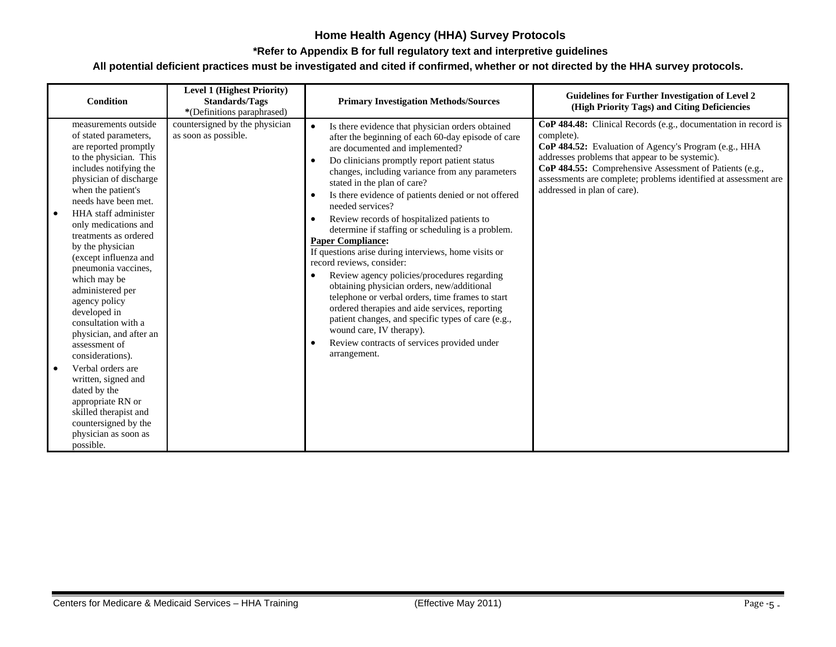#### **\*Refer to Appendix B for full regulatory text and interpretive guidelines**

| <b>Condition</b>                                                                                                                                                                                                                                                                                                                                                                                                                                                                                                                                                                                                                                                                                | <b>Level 1 (Highest Priority)</b><br><b>Standards/Tags</b><br>*(Definitions paraphrased) | <b>Primary Investigation Methods/Sources</b>                                                                                                                                                                                                                                                                                                                                                                                                                                                                                                                                                                                                                                                                                                                                                                                                                                                                                                                               | <b>Guidelines for Further Investigation of Level 2</b><br>(High Priority Tags) and Citing Deficiencies                                                                                                                                                                                                                                                |
|-------------------------------------------------------------------------------------------------------------------------------------------------------------------------------------------------------------------------------------------------------------------------------------------------------------------------------------------------------------------------------------------------------------------------------------------------------------------------------------------------------------------------------------------------------------------------------------------------------------------------------------------------------------------------------------------------|------------------------------------------------------------------------------------------|----------------------------------------------------------------------------------------------------------------------------------------------------------------------------------------------------------------------------------------------------------------------------------------------------------------------------------------------------------------------------------------------------------------------------------------------------------------------------------------------------------------------------------------------------------------------------------------------------------------------------------------------------------------------------------------------------------------------------------------------------------------------------------------------------------------------------------------------------------------------------------------------------------------------------------------------------------------------------|-------------------------------------------------------------------------------------------------------------------------------------------------------------------------------------------------------------------------------------------------------------------------------------------------------------------------------------------------------|
| measurements outside<br>of stated parameters,<br>are reported promptly<br>to the physician. This<br>includes notifying the<br>physician of discharge<br>when the patient's<br>needs have been met.<br>HHA staff administer<br>$\bullet$<br>only medications and<br>treatments as ordered<br>by the physician<br>(except influenza and<br>pneumonia vaccines,<br>which may be<br>administered per<br>agency policy<br>developed in<br>consultation with a<br>physician, and after an<br>assessment of<br>considerations).<br>Verbal orders are<br>written, signed and<br>dated by the<br>appropriate RN or<br>skilled therapist and<br>countersigned by the<br>physician as soon as<br>possible. | countersigned by the physician<br>as soon as possible.                                   | Is there evidence that physician orders obtained<br>$\bullet$<br>after the beginning of each 60-day episode of care<br>are documented and implemented?<br>Do clinicians promptly report patient status<br>$\bullet$<br>changes, including variance from any parameters<br>stated in the plan of care?<br>Is there evidence of patients denied or not offered<br>٠<br>needed services?<br>Review records of hospitalized patients to<br>$\bullet$<br>determine if staffing or scheduling is a problem.<br><b>Paper Compliance:</b><br>If questions arise during interviews, home visits or<br>record reviews, consider:<br>Review agency policies/procedures regarding<br>obtaining physician orders, new/additional<br>telephone or verbal orders, time frames to start<br>ordered therapies and aide services, reporting<br>patient changes, and specific types of care (e.g.,<br>wound care, IV therapy).<br>Review contracts of services provided under<br>arrangement. | CoP 484.48: Clinical Records (e.g., documentation in record is<br>complete).<br>CoP 484.52: Evaluation of Agency's Program (e.g., HHA<br>addresses problems that appear to be systemic).<br>CoP 484.55: Comprehensive Assessment of Patients (e.g.,<br>assessments are complete; problems identified at assessment are<br>addressed in plan of care). |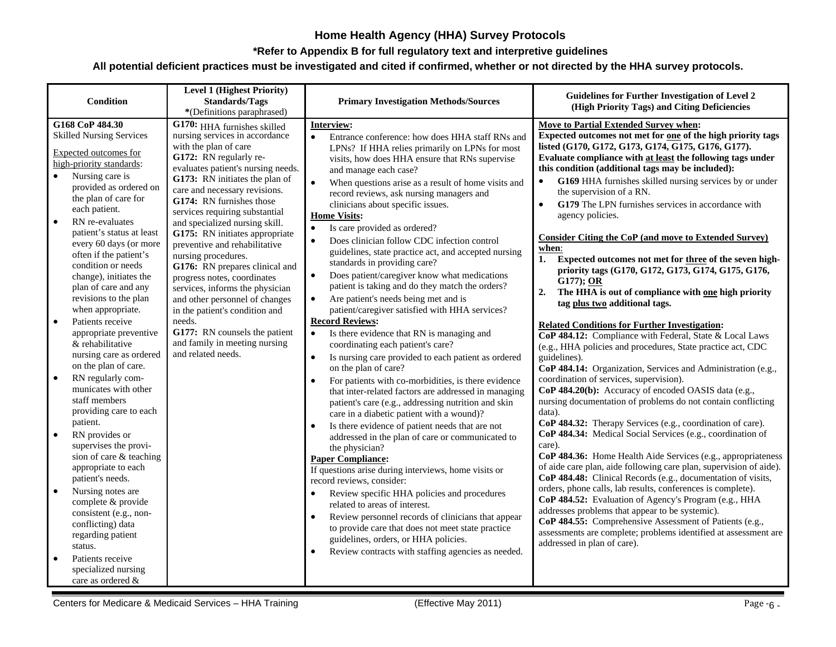#### **\*Refer to Appendix B for full regulatory text and interpretive guidelines**

| <b>Condition</b>                                                                                                                                                                                                                                                                                                                                                                                                                                                                                                                                                                                                                                                                        | <b>Level 1 (Highest Priority)</b><br><b>Standards/Tags</b><br>*(Definitions paraphrased)                                                                                                                                                                                                                                                                                                                                                                                                                                                                                                                                                                                                      | <b>Primary Investigation Methods/Sources</b>                                                                                                                                                                                                                                                                                                                                                                                                                                                                                                                                                                                                                                                                                                                                                                                                                                                                                                                                                                                                                                                                                                                                                                                                                                                                                            | Guidelines for Further Investigation of Level 2<br>(High Priority Tags) and Citing Deficiencies                                                                                                                                                                                                                                                                                                                                                                                                                                                                                                                                                                                                                                                                                                                                                                                                                                                                                                                                                                                                                                                                                                                                                                                                                      |
|-----------------------------------------------------------------------------------------------------------------------------------------------------------------------------------------------------------------------------------------------------------------------------------------------------------------------------------------------------------------------------------------------------------------------------------------------------------------------------------------------------------------------------------------------------------------------------------------------------------------------------------------------------------------------------------------|-----------------------------------------------------------------------------------------------------------------------------------------------------------------------------------------------------------------------------------------------------------------------------------------------------------------------------------------------------------------------------------------------------------------------------------------------------------------------------------------------------------------------------------------------------------------------------------------------------------------------------------------------------------------------------------------------|-----------------------------------------------------------------------------------------------------------------------------------------------------------------------------------------------------------------------------------------------------------------------------------------------------------------------------------------------------------------------------------------------------------------------------------------------------------------------------------------------------------------------------------------------------------------------------------------------------------------------------------------------------------------------------------------------------------------------------------------------------------------------------------------------------------------------------------------------------------------------------------------------------------------------------------------------------------------------------------------------------------------------------------------------------------------------------------------------------------------------------------------------------------------------------------------------------------------------------------------------------------------------------------------------------------------------------------------|----------------------------------------------------------------------------------------------------------------------------------------------------------------------------------------------------------------------------------------------------------------------------------------------------------------------------------------------------------------------------------------------------------------------------------------------------------------------------------------------------------------------------------------------------------------------------------------------------------------------------------------------------------------------------------------------------------------------------------------------------------------------------------------------------------------------------------------------------------------------------------------------------------------------------------------------------------------------------------------------------------------------------------------------------------------------------------------------------------------------------------------------------------------------------------------------------------------------------------------------------------------------------------------------------------------------|
| G168 CoP 484.30<br><b>Skilled Nursing Services</b><br>Expected outcomes for<br>high-priority standards:<br>Nursing care is<br>provided as ordered on<br>the plan of care for<br>each patient.<br>RN re-evaluates<br>$\bullet$<br>patient's status at least<br>every 60 days (or more<br>often if the patient's<br>condition or needs<br>change), initiates the<br>plan of care and any<br>revisions to the plan<br>when appropriate.<br>Patients receive<br>$\bullet$<br>appropriate preventive<br>& rehabilitative<br>nursing care as ordered<br>on the plan of care.<br>$\bullet$<br>RN regularly com-<br>municates with other<br>staff members<br>providing care to each<br>patient. | G170: HHA furnishes skilled<br>nursing services in accordance<br>with the plan of care<br>G172: RN regularly re-<br>evaluates patient's nursing needs.<br>G173: RN initiates the plan of<br>care and necessary revisions.<br>G174: RN furnishes those<br>services requiring substantial<br>and specialized nursing skill.<br>G175: RN initiates appropriate<br>preventive and rehabilitative<br>nursing procedures.<br>G176: RN prepares clinical and<br>progress notes, coordinates<br>services, informs the physician<br>and other personnel of changes<br>in the patient's condition and<br>needs.<br>G177: RN counsels the patient<br>and family in meeting nursing<br>and related needs. | <b>Interview:</b><br>Entrance conference: how does HHA staff RNs and<br>$\bullet$<br>LPNs? If HHA relies primarily on LPNs for most<br>visits, how does HHA ensure that RNs supervise<br>and manage each case?<br>When questions arise as a result of home visits and<br>$\bullet$<br>record reviews, ask nursing managers and<br>clinicians about specific issues.<br><b>Home Visits:</b><br>Is care provided as ordered?<br>$\bullet$<br>Does clinician follow CDC infection control<br>$\bullet$<br>guidelines, state practice act, and accepted nursing<br>standards in providing care?<br>$\bullet$<br>Does patient/caregiver know what medications<br>patient is taking and do they match the orders?<br>Are patient's needs being met and is<br>$\bullet$<br>patient/caregiver satisfied with HHA services?<br><b>Record Reviews:</b><br>Is there evidence that RN is managing and<br>$\bullet$<br>coordinating each patient's care?<br>Is nursing care provided to each patient as ordered<br>$\bullet$<br>on the plan of care?<br>For patients with co-morbidities, is there evidence<br>$\bullet$<br>that inter-related factors are addressed in managing<br>patient's care (e.g., addressing nutrition and skin<br>care in a diabetic patient with a wound)?<br>Is there evidence of patient needs that are not<br>$\bullet$ | Move to Partial Extended Survey when:<br>Expected outcomes not met for one of the high priority tags<br>listed (G170, G172, G173, G174, G175, G176, G177).<br>Evaluate compliance with at least the following tags under<br>this condition (additional tags may be included):<br>G169 HHA furnishes skilled nursing services by or under<br>$\bullet$<br>the supervision of a RN.<br>G179 The LPN furnishes services in accordance with<br>$\bullet$<br>agency policies.<br><b>Consider Citing the CoP (and move to Extended Survey)</b><br>when:<br>1.<br>Expected outcomes not met for three of the seven high-<br>priority tags (G170, G172, G173, G174, G175, G176,<br>G177); OR<br>2.<br>The HHA is out of compliance with one high priority<br>tag plus two additional tags.<br><b>Related Conditions for Further Investigation:</b><br>$\overline{\text{CoP }484.12}$ : Compliance with Federal, State & Local Laws<br>(e.g., HHA policies and procedures, State practice act, CDC<br>guidelines).<br>CoP 484.14: Organization, Services and Administration (e.g.,<br>coordination of services, supervision).<br>CoP 484.20(b): Accuracy of encoded OASIS data (e.g.,<br>nursing documentation of problems do not contain conflicting<br>data).<br>CoP 484.32: Therapy Services (e.g., coordination of care). |
| RN provides or<br>$\bullet$<br>supervises the provi-<br>sion of care & teaching<br>appropriate to each<br>patient's needs.<br>Nursing notes are<br>$\bullet$<br>complete & provide<br>consistent (e.g., non-<br>conflicting) data<br>regarding patient<br>status.<br>Patients receive<br>$\bullet$<br>specialized nursing<br>care as ordered &                                                                                                                                                                                                                                                                                                                                          |                                                                                                                                                                                                                                                                                                                                                                                                                                                                                                                                                                                                                                                                                               | addressed in the plan of care or communicated to<br>the physician?<br><b>Paper Compliance:</b><br>If questions arise during interviews, home visits or<br>record reviews, consider:<br>Review specific HHA policies and procedures<br>related to areas of interest.<br>Review personnel records of clinicians that appear<br>$\bullet$<br>to provide care that does not meet state practice<br>guidelines, orders, or HHA policies.<br>Review contracts with staffing agencies as needed.<br>$\bullet$                                                                                                                                                                                                                                                                                                                                                                                                                                                                                                                                                                                                                                                                                                                                                                                                                                  | CoP 484.34: Medical Social Services (e.g., coordination of<br>care).<br>CoP 484.36: Home Health Aide Services (e.g., appropriateness<br>of aide care plan, aide following care plan, supervision of aide).<br>CoP 484.48: Clinical Records (e.g., documentation of visits,<br>orders, phone calls, lab results, conferences is complete).<br>CoP 484.52: Evaluation of Agency's Program (e.g., HHA<br>addresses problems that appear to be systemic).<br>CoP 484.55: Comprehensive Assessment of Patients (e.g.,<br>assessments are complete; problems identified at assessment are<br>addressed in plan of care).                                                                                                                                                                                                                                                                                                                                                                                                                                                                                                                                                                                                                                                                                                   |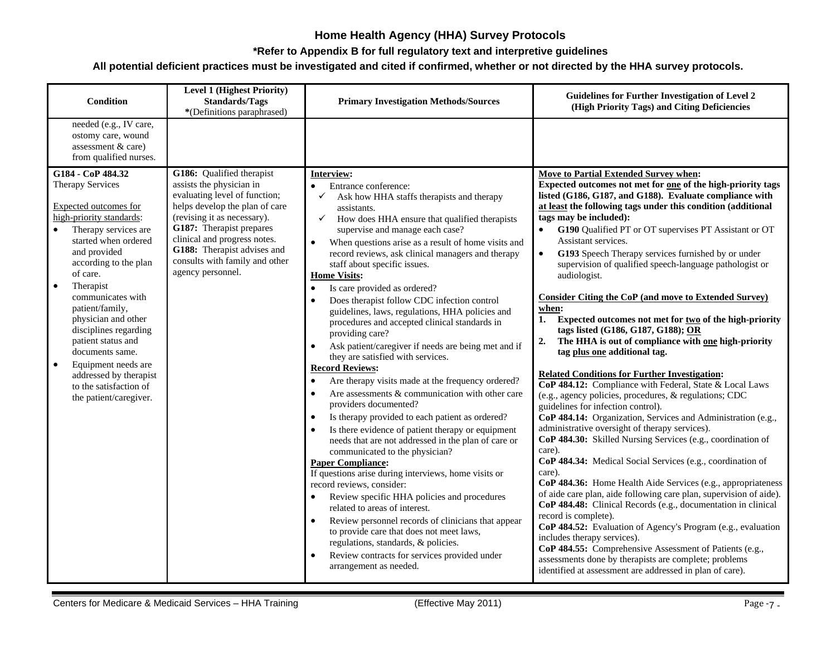#### **\*Refer to Appendix B for full regulatory text and interpretive guidelines**

| Condition                                                                                                                                                                                                                                                                                                                                                                                                                                                                    | <b>Level 1 (Highest Priority)</b><br><b>Standards/Tags</b><br>*(Definitions paraphrased)                                                                                                                                                                                                                  | <b>Primary Investigation Methods/Sources</b>                                                                                                                                                                                                                                                                                                                                                                                                                                                                                                                                                                                                                                                                                                                                                                                                                                                                                                                                                                                                                                                                                                                                                                                                                                                                                                                                                                                                                                                                                            | <b>Guidelines for Further Investigation of Level 2</b><br>(High Priority Tags) and Citing Deficiencies                                                                                                                                                                                                                                                                                                                                                                                                                                                                                                                                                                                                                                                                                                                                                                                                                                                                                                                                                                                                                                                                                                                                                                                                                                                                                                                                                                                                                                                                                                                                                                                                                                                                      |
|------------------------------------------------------------------------------------------------------------------------------------------------------------------------------------------------------------------------------------------------------------------------------------------------------------------------------------------------------------------------------------------------------------------------------------------------------------------------------|-----------------------------------------------------------------------------------------------------------------------------------------------------------------------------------------------------------------------------------------------------------------------------------------------------------|-----------------------------------------------------------------------------------------------------------------------------------------------------------------------------------------------------------------------------------------------------------------------------------------------------------------------------------------------------------------------------------------------------------------------------------------------------------------------------------------------------------------------------------------------------------------------------------------------------------------------------------------------------------------------------------------------------------------------------------------------------------------------------------------------------------------------------------------------------------------------------------------------------------------------------------------------------------------------------------------------------------------------------------------------------------------------------------------------------------------------------------------------------------------------------------------------------------------------------------------------------------------------------------------------------------------------------------------------------------------------------------------------------------------------------------------------------------------------------------------------------------------------------------------|-----------------------------------------------------------------------------------------------------------------------------------------------------------------------------------------------------------------------------------------------------------------------------------------------------------------------------------------------------------------------------------------------------------------------------------------------------------------------------------------------------------------------------------------------------------------------------------------------------------------------------------------------------------------------------------------------------------------------------------------------------------------------------------------------------------------------------------------------------------------------------------------------------------------------------------------------------------------------------------------------------------------------------------------------------------------------------------------------------------------------------------------------------------------------------------------------------------------------------------------------------------------------------------------------------------------------------------------------------------------------------------------------------------------------------------------------------------------------------------------------------------------------------------------------------------------------------------------------------------------------------------------------------------------------------------------------------------------------------------------------------------------------------|
| needed (e.g., IV care,<br>ostomy care, wound<br>assessment & care)<br>from qualified nurses.                                                                                                                                                                                                                                                                                                                                                                                 |                                                                                                                                                                                                                                                                                                           |                                                                                                                                                                                                                                                                                                                                                                                                                                                                                                                                                                                                                                                                                                                                                                                                                                                                                                                                                                                                                                                                                                                                                                                                                                                                                                                                                                                                                                                                                                                                         |                                                                                                                                                                                                                                                                                                                                                                                                                                                                                                                                                                                                                                                                                                                                                                                                                                                                                                                                                                                                                                                                                                                                                                                                                                                                                                                                                                                                                                                                                                                                                                                                                                                                                                                                                                             |
| G184 - CoP 484.32<br>Therapy Services<br>Expected outcomes for<br>high-priority standards:<br>Therapy services are<br>started when ordered<br>and provided<br>according to the plan<br>of care.<br>Therapist<br>$\bullet$<br>communicates with<br>patient/family,<br>physician and other<br>disciplines regarding<br>patient status and<br>documents same.<br>$\bullet$<br>Equipment needs are<br>addressed by therapist<br>to the satisfaction of<br>the patient/caregiver. | G186: Qualified therapist<br>assists the physician in<br>evaluating level of function;<br>helps develop the plan of care<br>(revising it as necessary).<br>G187: Therapist prepares<br>clinical and progress notes.<br>G188: Therapist advises and<br>consults with family and other<br>agency personnel. | Interview:<br>Entrance conference:<br>Ask how HHA staffs therapists and therapy<br>assistants.<br>How does HHA ensure that qualified therapists<br>✓<br>supervise and manage each case?<br>When questions arise as a result of home visits and<br>record reviews, ask clinical managers and therapy<br>staff about specific issues.<br><b>Home Visits:</b><br>Is care provided as ordered?<br>$\bullet$<br>Does therapist follow CDC infection control<br>guidelines, laws, regulations, HHA policies and<br>procedures and accepted clinical standards in<br>providing care?<br>Ask patient/caregiver if needs are being met and if<br>$\bullet$<br>they are satisfied with services.<br><b>Record Reviews:</b><br>Are therapy visits made at the frequency ordered?<br>$\bullet$<br>Are assessments & communication with other care<br>$\bullet$<br>providers documented?<br>Is therapy provided to each patient as ordered?<br>$\bullet$<br>Is there evidence of patient therapy or equipment<br>needs that are not addressed in the plan of care or<br>communicated to the physician?<br><b>Paper Compliance:</b><br>If questions arise during interviews, home visits or<br>record reviews, consider:<br>Review specific HHA policies and procedures<br>related to areas of interest.<br>Review personnel records of clinicians that appear<br>$\bullet$<br>to provide care that does not meet laws,<br>regulations, standards, & policies.<br>Review contracts for services provided under<br>$\bullet$<br>arrangement as needed. | Move to Partial Extended Survey when:<br>Expected outcomes not met for <u>one</u> of the high-priority tags<br>listed (G186, G187, and G188). Evaluate compliance with<br>at least the following tags under this condition (additional<br>tags may be included):<br>G190 Qualified PT or OT supervises PT Assistant or OT<br>Assistant services.<br>$\bullet$<br>G193 Speech Therapy services furnished by or under<br>supervision of qualified speech-language pathologist or<br>audiologist.<br><b>Consider Citing the CoP (and move to Extended Survey)</b><br>when:<br>1. Expected outcomes not met for two of the high-priority<br>tags listed (G186, G187, G188); OR<br>The HHA is out of compliance with one high-priority<br>2.<br>tag plus one additional tag.<br><b>Related Conditions for Further Investigation:</b><br>CoP 484.12: Compliance with Federal, State & Local Laws<br>(e.g., agency policies, procedures, & regulations; CDC<br>guidelines for infection control).<br>CoP 484.14: Organization, Services and Administration (e.g.,<br>administrative oversight of therapy services).<br>CoP 484.30: Skilled Nursing Services (e.g., coordination of<br>care).<br>CoP 484.34: Medical Social Services (e.g., coordination of<br>care).<br>CoP 484.36: Home Health Aide Services (e.g., appropriateness<br>of aide care plan, aide following care plan, supervision of aide).<br>CoP 484.48: Clinical Records (e.g., documentation in clinical<br>record is complete).<br>CoP 484.52: Evaluation of Agency's Program (e.g., evaluation<br>includes therapy services).<br>CoP 484.55: Comprehensive Assessment of Patients (e.g.,<br>assessments done by therapists are complete; problems<br>identified at assessment are addressed in plan of care). |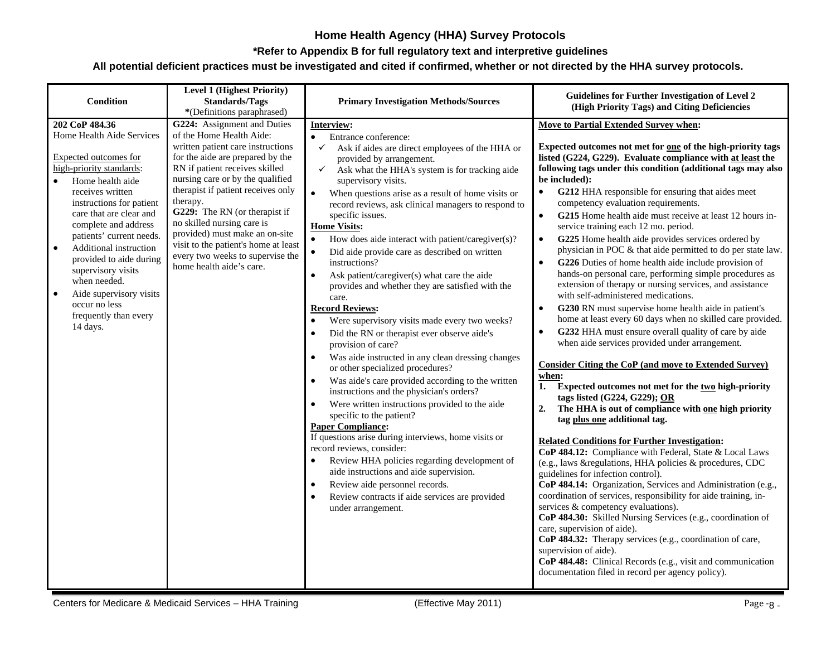#### **\*Refer to Appendix B for full regulatory text and interpretive guidelines**

| Condition                                                                                                                                                                                                                                                                                                                                                                                                                                                              | <b>Level 1 (Highest Priority)</b><br><b>Standards/Tags</b><br>*(Definitions paraphrased)                                                                                                                                                                                                                                                                                                                                                                          | <b>Primary Investigation Methods/Sources</b>                                                                                                                                                                                                                                                                                                                                                                                                                                                                                                                                                                                                                                                                                                                                                                                                                                                                                                                                                                                                                                                                                                                                                                                                                                                                                                                                                           | <b>Guidelines for Further Investigation of Level 2</b><br>(High Priority Tags) and Citing Deficiencies                                                                                                                                                                                                                                                                                                                                                                                                                                                                                                                                                                                                                                                                                                                                                                                                                                                                                                                                                                                                                                                                                                                                                                                                                                                                                                                                                                                                                                                                                                                                                                                                                                                                                                                                                                                                                                                                                                                                                               |
|------------------------------------------------------------------------------------------------------------------------------------------------------------------------------------------------------------------------------------------------------------------------------------------------------------------------------------------------------------------------------------------------------------------------------------------------------------------------|-------------------------------------------------------------------------------------------------------------------------------------------------------------------------------------------------------------------------------------------------------------------------------------------------------------------------------------------------------------------------------------------------------------------------------------------------------------------|--------------------------------------------------------------------------------------------------------------------------------------------------------------------------------------------------------------------------------------------------------------------------------------------------------------------------------------------------------------------------------------------------------------------------------------------------------------------------------------------------------------------------------------------------------------------------------------------------------------------------------------------------------------------------------------------------------------------------------------------------------------------------------------------------------------------------------------------------------------------------------------------------------------------------------------------------------------------------------------------------------------------------------------------------------------------------------------------------------------------------------------------------------------------------------------------------------------------------------------------------------------------------------------------------------------------------------------------------------------------------------------------------------|----------------------------------------------------------------------------------------------------------------------------------------------------------------------------------------------------------------------------------------------------------------------------------------------------------------------------------------------------------------------------------------------------------------------------------------------------------------------------------------------------------------------------------------------------------------------------------------------------------------------------------------------------------------------------------------------------------------------------------------------------------------------------------------------------------------------------------------------------------------------------------------------------------------------------------------------------------------------------------------------------------------------------------------------------------------------------------------------------------------------------------------------------------------------------------------------------------------------------------------------------------------------------------------------------------------------------------------------------------------------------------------------------------------------------------------------------------------------------------------------------------------------------------------------------------------------------------------------------------------------------------------------------------------------------------------------------------------------------------------------------------------------------------------------------------------------------------------------------------------------------------------------------------------------------------------------------------------------------------------------------------------------------------------------------------------------|
| 202 CoP 484.36<br>Home Health Aide Services<br>Expected outcomes for<br>high-priority standards:<br>Home health aide<br>$\bullet$<br>receives written<br>instructions for patient<br>care that are clear and<br>complete and address<br>patients' current needs.<br>Additional instruction<br>$\bullet$<br>provided to aide during<br>supervisory visits<br>when needed.<br>Aide supervisory visits<br>$\bullet$<br>occur no less<br>frequently than every<br>14 days. | G224: Assignment and Duties<br>of the Home Health Aide:<br>written patient care instructions<br>for the aide are prepared by the<br>RN if patient receives skilled<br>nursing care or by the qualified<br>therapist if patient receives only<br>therapy.<br>G229: The RN (or therapist if<br>no skilled nursing care is<br>provided) must make an on-site<br>visit to the patient's home at least<br>every two weeks to supervise the<br>home health aide's care. | <b>Interview:</b><br>Entrance conference:<br>$\bullet$<br>Ask if aides are direct employees of the HHA or<br>$\checkmark$<br>provided by arrangement.<br>Ask what the HHA's system is for tracking aide<br>✓<br>supervisory visits.<br>$\bullet$<br>When questions arise as a result of home visits or<br>record reviews, ask clinical managers to respond to<br>specific issues.<br><b>Home Visits:</b><br>How does aide interact with patient/caregiver(s)?<br>Did aide provide care as described on written<br>instructions?<br>Ask patient/caregiver(s) what care the aide<br>$\bullet$<br>provides and whether they are satisfied with the<br>care.<br><b>Record Reviews:</b><br>Were supervisory visits made every two weeks?<br>Did the RN or therapist ever observe aide's<br>provision of care?<br>Was aide instructed in any clean dressing changes<br>or other specialized procedures?<br>Was aide's care provided according to the written<br>instructions and the physician's orders?<br>Were written instructions provided to the aide<br>specific to the patient?<br><b>Paper Compliance:</b><br>If questions arise during interviews, home visits or<br>record reviews, consider:<br>Review HHA policies regarding development of<br>aide instructions and aide supervision.<br>Review aide personnel records.<br>Review contracts if aide services are provided<br>under arrangement. | <b>Move to Partial Extended Survey when:</b><br>Expected outcomes not met for one of the high-priority tags<br>listed (G224, G229). Evaluate compliance with at least the<br>following tags under this condition (additional tags may also<br>be included):<br>G212 HHA responsible for ensuring that aides meet<br>competency evaluation requirements.<br>G215 Home health aide must receive at least 12 hours in-<br>$\bullet$<br>service training each 12 mo. period.<br>G225 Home health aide provides services ordered by<br>physician in POC & that aide permitted to do per state law.<br>G226 Duties of home health aide include provision of<br>$\bullet$<br>hands-on personal care, performing simple procedures as<br>extension of therapy or nursing services, and assistance<br>with self-administered medications.<br>G230 RN must supervise home health aide in patient's<br>$\bullet$<br>home at least every 60 days when no skilled care provided.<br>G232 HHA must ensure overall quality of care by aide<br>$\bullet$<br>when aide services provided under arrangement.<br><b>Consider Citing the CoP (and move to Extended Survey)</b><br>when:<br>Expected outcomes not met for the two high-priority<br>1.<br>tags listed (G224, G229); OR<br>2.<br>The HHA is out of compliance with one high priority<br>tag plus one additional tag.<br><b>Related Conditions for Further Investigation:</b><br>CoP 484.12: Compliance with Federal, State & Local Laws<br>(e.g., laws &regulations, HHA policies & procedures, CDC<br>guidelines for infection control).<br>CoP 484.14: Organization, Services and Administration (e.g.,<br>coordination of services, responsibility for aide training, in-<br>services & competency evaluations).<br>CoP 484.30: Skilled Nursing Services (e.g., coordination of<br>care, supervision of aide).<br>CoP 484.32: Therapy services (e.g., coordination of care,<br>supervision of aide).<br>CoP 484.48: Clinical Records (e.g., visit and communication<br>documentation filed in record per agency policy). |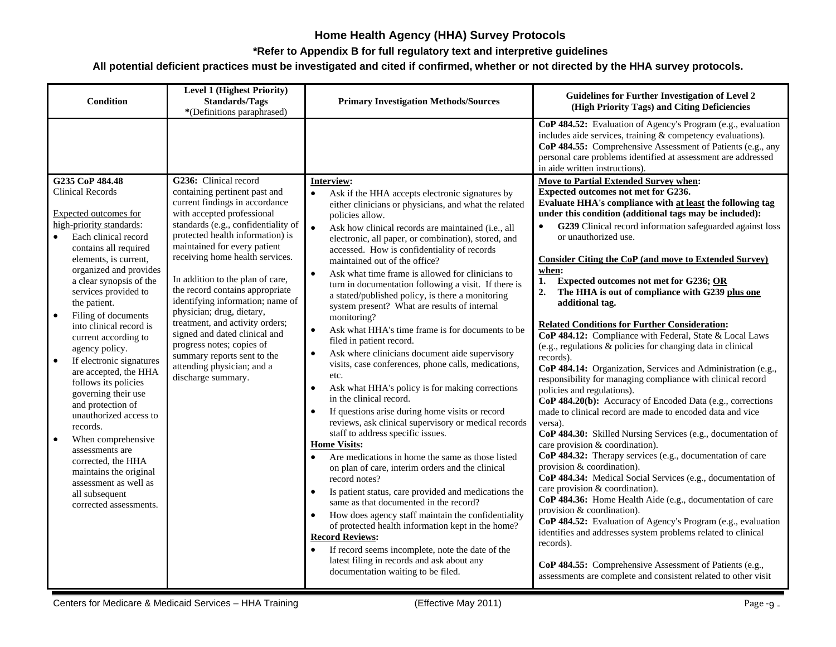#### **\*Refer to Appendix B for full regulatory text and interpretive guidelines**

| <b>Condition</b>                                                                                                                                                                                                                                                                                                                                                                                                                                                                                                                                                                                                                                                                                                                              | <b>Level 1 (Highest Priority)</b><br><b>Standards/Tags</b><br>*(Definitions paraphrased)                                                                                                                                                                                                                                                                                                                                                                                                                                                                                                         | <b>Primary Investigation Methods/Sources</b>                                                                                                                                                                                                                                                                                                                                                                                                                                                                                                                                                                                                                                                                                                                                                                                                                                                                                                                                                                                                                                                                                                                                                                                                                                                                                                                                                                                                                                                                                                                                                         | <b>Guidelines for Further Investigation of Level 2</b><br>(High Priority Tags) and Citing Deficiencies                                                                                                                                                                                                                                                                                                                                                                                                                                                                                                                                                                                                                                                                                                                                                                                                                                                                                                                                                                                                                                                                                                                                                                                                                                                                                                                                                                                                                                                                                                                                                                       |
|-----------------------------------------------------------------------------------------------------------------------------------------------------------------------------------------------------------------------------------------------------------------------------------------------------------------------------------------------------------------------------------------------------------------------------------------------------------------------------------------------------------------------------------------------------------------------------------------------------------------------------------------------------------------------------------------------------------------------------------------------|--------------------------------------------------------------------------------------------------------------------------------------------------------------------------------------------------------------------------------------------------------------------------------------------------------------------------------------------------------------------------------------------------------------------------------------------------------------------------------------------------------------------------------------------------------------------------------------------------|------------------------------------------------------------------------------------------------------------------------------------------------------------------------------------------------------------------------------------------------------------------------------------------------------------------------------------------------------------------------------------------------------------------------------------------------------------------------------------------------------------------------------------------------------------------------------------------------------------------------------------------------------------------------------------------------------------------------------------------------------------------------------------------------------------------------------------------------------------------------------------------------------------------------------------------------------------------------------------------------------------------------------------------------------------------------------------------------------------------------------------------------------------------------------------------------------------------------------------------------------------------------------------------------------------------------------------------------------------------------------------------------------------------------------------------------------------------------------------------------------------------------------------------------------------------------------------------------------|------------------------------------------------------------------------------------------------------------------------------------------------------------------------------------------------------------------------------------------------------------------------------------------------------------------------------------------------------------------------------------------------------------------------------------------------------------------------------------------------------------------------------------------------------------------------------------------------------------------------------------------------------------------------------------------------------------------------------------------------------------------------------------------------------------------------------------------------------------------------------------------------------------------------------------------------------------------------------------------------------------------------------------------------------------------------------------------------------------------------------------------------------------------------------------------------------------------------------------------------------------------------------------------------------------------------------------------------------------------------------------------------------------------------------------------------------------------------------------------------------------------------------------------------------------------------------------------------------------------------------------------------------------------------------|
|                                                                                                                                                                                                                                                                                                                                                                                                                                                                                                                                                                                                                                                                                                                                               |                                                                                                                                                                                                                                                                                                                                                                                                                                                                                                                                                                                                  |                                                                                                                                                                                                                                                                                                                                                                                                                                                                                                                                                                                                                                                                                                                                                                                                                                                                                                                                                                                                                                                                                                                                                                                                                                                                                                                                                                                                                                                                                                                                                                                                      | CoP 484.52: Evaluation of Agency's Program (e.g., evaluation<br>includes aide services, training & competency evaluations).<br>CoP 484.55: Comprehensive Assessment of Patients (e.g., any<br>personal care problems identified at assessment are addressed<br>in aide written instructions).                                                                                                                                                                                                                                                                                                                                                                                                                                                                                                                                                                                                                                                                                                                                                                                                                                                                                                                                                                                                                                                                                                                                                                                                                                                                                                                                                                                |
| G235 CoP 484.48<br><b>Clinical Records</b><br><b>Expected outcomes for</b><br>high-priority standards:<br>Each clinical record<br>contains all required<br>elements, is current,<br>organized and provides<br>a clear synopsis of the<br>services provided to<br>the patient.<br>$\bullet$<br>Filing of documents<br>into clinical record is<br>current according to<br>agency policy.<br>If electronic signatures<br>$\bullet$<br>are accepted, the HHA<br>follows its policies<br>governing their use<br>and protection of<br>unauthorized access to<br>records.<br>When comprehensive<br>$\bullet$<br>assessments are<br>corrected, the HHA<br>maintains the original<br>assessment as well as<br>all subsequent<br>corrected assessments. | G236: Clinical record<br>containing pertinent past and<br>current findings in accordance<br>with accepted professional<br>standards (e.g., confidentiality of<br>protected health information) is<br>maintained for every patient<br>receiving home health services.<br>In addition to the plan of care,<br>the record contains appropriate<br>identifying information; name of<br>physician; drug, dietary,<br>treatment, and activity orders;<br>signed and dated clinical and<br>progress notes; copies of<br>summary reports sent to the<br>attending physician; and a<br>discharge summary. | Interview:<br>Ask if the HHA accepts electronic signatures by<br>either clinicians or physicians, and what the related<br>policies allow.<br>$\bullet$<br>Ask how clinical records are maintained (i.e., all<br>electronic, all paper, or combination), stored, and<br>accessed. How is confidentiality of records<br>maintained out of the office?<br>Ask what time frame is allowed for clinicians to<br>$\bullet$<br>turn in documentation following a visit. If there is<br>a stated/published policy, is there a monitoring<br>system present? What are results of internal<br>monitoring?<br>Ask what HHA's time frame is for documents to be<br>$\bullet$<br>filed in patient record.<br>Ask where clinicians document aide supervisory<br>visits, case conferences, phone calls, medications,<br>etc.<br>Ask what HHA's policy is for making corrections<br>$\bullet$<br>in the clinical record.<br>If questions arise during home visits or record<br>reviews, ask clinical supervisory or medical records<br>staff to address specific issues.<br><b>Home Visits:</b><br>Are medications in home the same as those listed<br>on plan of care, interim orders and the clinical<br>record notes?<br>Is patient status, care provided and medications the<br>$\bullet$<br>same as that documented in the record?<br>How does agency staff maintain the confidentiality<br>of protected health information kept in the home?<br><b>Record Reviews:</b><br>If record seems incomplete, note the date of the<br>latest filing in records and ask about any<br>documentation waiting to be filed. | <b>Move to Partial Extended Survey when:</b><br>Expected outcomes not met for G236.<br>Evaluate HHA's compliance with at least the following tag<br>under this condition (additional tags may be included):<br>G239 Clinical record information safeguarded against loss<br>or unauthorized use.<br><b>Consider Citing the CoP (and move to Extended Survey)</b><br>when:<br>1.<br>Expected outcomes not met for G236; OR<br>The HHA is out of compliance with G239 plus one<br>2.<br>additional tag.<br><b>Related Conditions for Further Consideration:</b><br>CoP 484.12: Compliance with Federal, State & Local Laws<br>(e.g., regulations & policies for changing data in clinical<br>records).<br>CoP 484.14: Organization, Services and Administration (e.g.,<br>responsibility for managing compliance with clinical record<br>policies and regulations).<br>CoP 484.20(b): Accuracy of Encoded Data (e.g., corrections<br>made to clinical record are made to encoded data and vice<br>versa).<br>CoP 484.30: Skilled Nursing Services (e.g., documentation of<br>care provision & coordination).<br>CoP 484.32: Therapy services (e.g., documentation of care<br>provision & coordination).<br>CoP 484.34: Medical Social Services (e.g., documentation of<br>care provision & coordination).<br>CoP 484.36: Home Health Aide (e.g., documentation of care<br>provision & coordination).<br>CoP 484.52: Evaluation of Agency's Program (e.g., evaluation<br>identifies and addresses system problems related to clinical<br>records).<br>CoP 484.55: Comprehensive Assessment of Patients (e.g.,<br>assessments are complete and consistent related to other visit |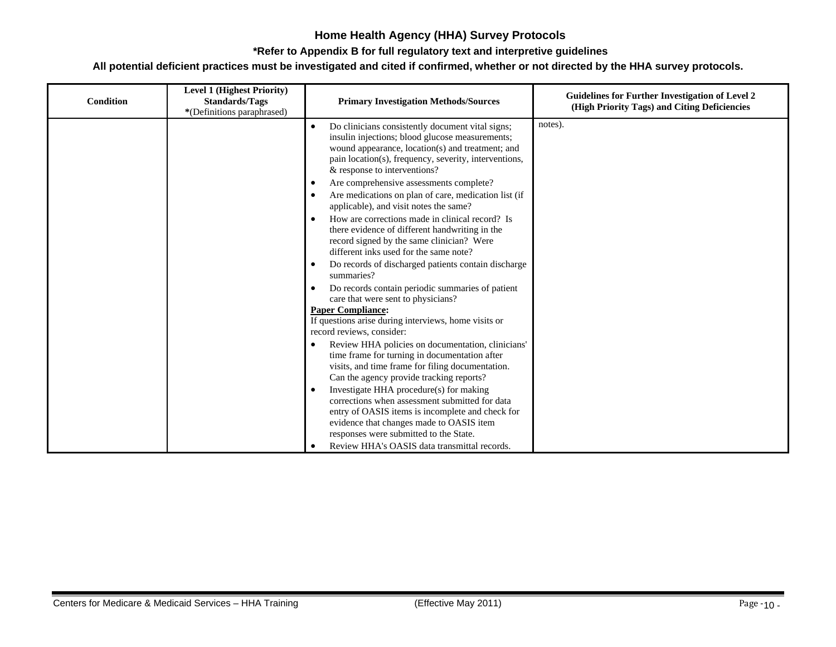#### **\*Refer to Appendix B for full regulatory text and interpretive guidelines**

| <b>Condition</b> | <b>Level 1 (Highest Priority)</b><br><b>Standards/Tags</b><br>*(Definitions paraphrased) | <b>Primary Investigation Methods/Sources</b>                                                                                                                                                                                                                                                                                                                                                                                                                                                                                                                                                                                                                                                                                                                                                                                                                                                                                                                                                                                                                                                                                         | <b>Guidelines for Further Investigation of Level 2</b><br>(High Priority Tags) and Citing Deficiencies |
|------------------|------------------------------------------------------------------------------------------|--------------------------------------------------------------------------------------------------------------------------------------------------------------------------------------------------------------------------------------------------------------------------------------------------------------------------------------------------------------------------------------------------------------------------------------------------------------------------------------------------------------------------------------------------------------------------------------------------------------------------------------------------------------------------------------------------------------------------------------------------------------------------------------------------------------------------------------------------------------------------------------------------------------------------------------------------------------------------------------------------------------------------------------------------------------------------------------------------------------------------------------|--------------------------------------------------------------------------------------------------------|
|                  |                                                                                          | Do clinicians consistently document vital signs;<br>insulin injections; blood glucose measurements;<br>wound appearance, location(s) and treatment; and<br>pain location(s), frequency, severity, interventions,<br>& response to interventions?<br>Are comprehensive assessments complete?<br>٠<br>Are medications on plan of care, medication list (if<br>applicable), and visit notes the same?<br>How are corrections made in clinical record? Is<br>there evidence of different handwriting in the<br>record signed by the same clinician? Were<br>different inks used for the same note?<br>Do records of discharged patients contain discharge<br>٠<br>summaries?<br>Do records contain periodic summaries of patient<br>care that were sent to physicians?<br><b>Paper Compliance:</b><br>If questions arise during interviews, home visits or<br>record reviews, consider:<br>Review HHA policies on documentation, clinicians'<br>time frame for turning in documentation after<br>visits, and time frame for filing documentation.<br>Can the agency provide tracking reports?<br>Investigate HHA procedure(s) for making | notes).                                                                                                |
|                  |                                                                                          | corrections when assessment submitted for data<br>entry of OASIS items is incomplete and check for<br>evidence that changes made to OASIS item<br>responses were submitted to the State.<br>Review HHA's OASIS data transmittal records.                                                                                                                                                                                                                                                                                                                                                                                                                                                                                                                                                                                                                                                                                                                                                                                                                                                                                             |                                                                                                        |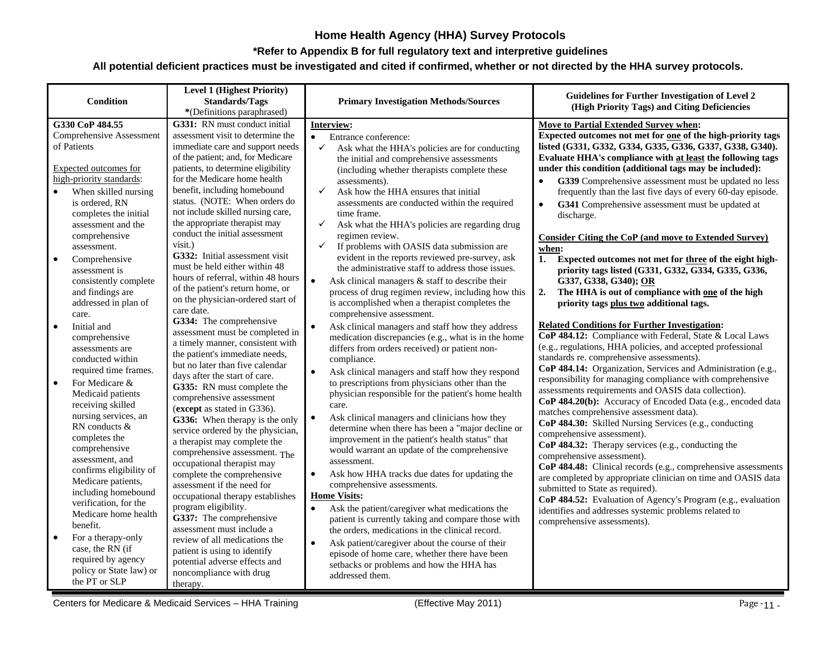#### **\*Refer to Appendix B for full regulatory text and interpretive guidelines**

| Condition                                         | <b>Level 1 (Highest Priority)</b><br><b>Standards/Tags</b><br>*(Definitions paraphrased) | <b>Primary Investigation Methods/Sources</b>                                                         | Guidelines for Further Investigation of Level 2<br>(High Priority Tags) and Citing Deficiencies                       |
|---------------------------------------------------|------------------------------------------------------------------------------------------|------------------------------------------------------------------------------------------------------|-----------------------------------------------------------------------------------------------------------------------|
| G330 CoP 484.55                                   | G331: RN must conduct initial                                                            | Interview:                                                                                           | <b>Move to Partial Extended Survey when:</b>                                                                          |
| <b>Comprehensive Assessment</b>                   | assessment visit to determine the                                                        | Entrance conference:<br>$\bullet$                                                                    | Expected outcomes not met for one of the high-priority tags                                                           |
| of Patients                                       | immediate care and support needs                                                         | $\checkmark$<br>Ask what the HHA's policies are for conducting                                       | listed (G331, G332, G334, G335, G336, G337, G338, G340).                                                              |
|                                                   | of the patient; and, for Medicare                                                        | the initial and comprehensive assessments                                                            | Evaluate HHA's compliance with at least the following tags<br>under this condition (additional tags may be included): |
| Expected outcomes for<br>high-priority standards: | patients, to determine eligibility<br>for the Medicare home health                       | (including whether therapists complete these                                                         |                                                                                                                       |
| When skilled nursing                              | benefit, including homebound                                                             | assessments).<br>Ask how the HHA ensures that initial<br>✓                                           | G339 Comprehensive assessment must be updated no less<br>frequently than the last five days of every 60-day episode.  |
| is ordered, RN                                    | status. (NOTE: When orders do                                                            | assessments are conducted within the required                                                        | G341 Comprehensive assessment must be updated at                                                                      |
| completes the initial                             | not include skilled nursing care,                                                        | time frame.                                                                                          | discharge.                                                                                                            |
| assessment and the                                | the appropriate therapist may                                                            | ✓<br>Ask what the HHA's policies are regarding drug                                                  |                                                                                                                       |
| comprehensive                                     | conduct the initial assessment                                                           | regimen review.                                                                                      | Consider Citing the CoP (and move to Extended Survey)                                                                 |
| assessment.                                       | visit.)                                                                                  | If problems with OASIS data submission are<br>$\checkmark$                                           | when:                                                                                                                 |
| Comprehensive<br>$\bullet$                        | G332: Initial assessment visit                                                           | evident in the reports reviewed pre-survey, ask                                                      | Expected outcomes not met for three of the eight high-<br>1.                                                          |
| assessment is                                     | must be held either within 48                                                            | the administrative staff to address those issues.                                                    | priority tags listed (G331, G332, G334, G335, G336,                                                                   |
| consistently complete                             | hours of referral, within 48 hours<br>of the patient's return home, or                   | $\bullet$<br>Ask clinical managers & staff to describe their                                         | G337, G338, G340); OR                                                                                                 |
| and findings are                                  | on the physician-ordered start of                                                        | process of drug regimen review, including how this                                                   | The HHA is out of compliance with one of the high<br>2.                                                               |
| addressed in plan of                              | care date.                                                                               | is accomplished when a therapist completes the                                                       | priority tags plus two additional tags.                                                                               |
| care.                                             | G334: The comprehensive                                                                  | comprehensive assessment.                                                                            | <b>Related Conditions for Further Investigation:</b>                                                                  |
| Initial and<br>$\bullet$                          | assessment must be completed in                                                          | Ask clinical managers and staff how they address                                                     | CoP 484.12: Compliance with Federal, State & Local Laws                                                               |
| comprehensive<br>assessments are                  | a timely manner, consistent with                                                         | medication discrepancies (e.g., what is in the home<br>differs from orders received) or patient non- | (e.g., regulations, HHA policies, and accepted professional                                                           |
| conducted within                                  | the patient's immediate needs,                                                           | compliance.                                                                                          | standards re. comprehensive assessments).                                                                             |
| required time frames.                             | but no later than five calendar                                                          | $\bullet$<br>Ask clinical managers and staff how they respond                                        | CoP 484.14: Organization, Services and Administration (e.g.,                                                          |
| For Medicare &<br>$\bullet$                       | days after the start of care.                                                            | to prescriptions from physicians other than the                                                      | responsibility for managing compliance with comprehensive                                                             |
| Medicaid patients                                 | G335: RN must complete the                                                               | physician responsible for the patient's home health                                                  | assessments requirements and OASIS data collection).                                                                  |
| receiving skilled                                 | comprehensive assessment                                                                 | care.                                                                                                | CoP 484.20(b): Accuracy of Encoded Data (e.g., encoded data                                                           |
| nursing services, an                              | (except as stated in G336).<br>G336: When therapy is the only                            | Ask clinical managers and clinicians how they<br>$\bullet$                                           | matches comprehensive assessment data).                                                                               |
| RN conducts &                                     | service ordered by the physician,                                                        | determine when there has been a "major decline or                                                    | CoP 484.30: Skilled Nursing Services (e.g., conducting                                                                |
| completes the                                     | a therapist may complete the                                                             | improvement in the patient's health status" that                                                     | comprehensive assessment).                                                                                            |
| comprehensive                                     | comprehensive assessment. The                                                            | would warrant an update of the comprehensive                                                         | CoP 484.32: Therapy services (e.g., conducting the<br>comprehensive assessment).                                      |
| assessment, and                                   | occupational therapist may                                                               | assessment.                                                                                          | CoP 484.48: Clinical records (e.g., comprehensive assessments                                                         |
| confirms eligibility of                           | complete the comprehensive                                                               | Ask how HHA tracks due dates for updating the<br>$\bullet$                                           | are completed by appropriate clinician on time and OASIS data                                                         |
| Medicare patients,<br>including homebound         | assessment if the need for                                                               | comprehensive assessments.                                                                           | submitted to State as required).                                                                                      |
| verification, for the                             | occupational therapy establishes                                                         | <b>Home Visits:</b>                                                                                  | CoP 484.52: Evaluation of Agency's Program (e.g., evaluation                                                          |
| Medicare home health                              | program eligibility.                                                                     | Ask the patient/caregiver what medications the                                                       | identifies and addresses systemic problems related to                                                                 |
| benefit.                                          | G337: The comprehensive<br>assessment must include a                                     | patient is currently taking and compare those with                                                   | comprehensive assessments).                                                                                           |
| $\bullet$<br>For a therapy-only                   | review of all medications the                                                            | the orders, medications in the clinical record.                                                      |                                                                                                                       |
| case, the RN (if                                  | patient is using to identify                                                             | Ask patient/caregiver about the course of their<br>$\bullet$                                         |                                                                                                                       |
| required by agency                                | potential adverse effects and                                                            | episode of home care, whether there have been                                                        |                                                                                                                       |
| policy or State law) or                           | noncompliance with drug                                                                  | setbacks or problems and how the HHA has<br>addressed them.                                          |                                                                                                                       |
| the PT or SLP                                     | therapy.                                                                                 |                                                                                                      |                                                                                                                       |